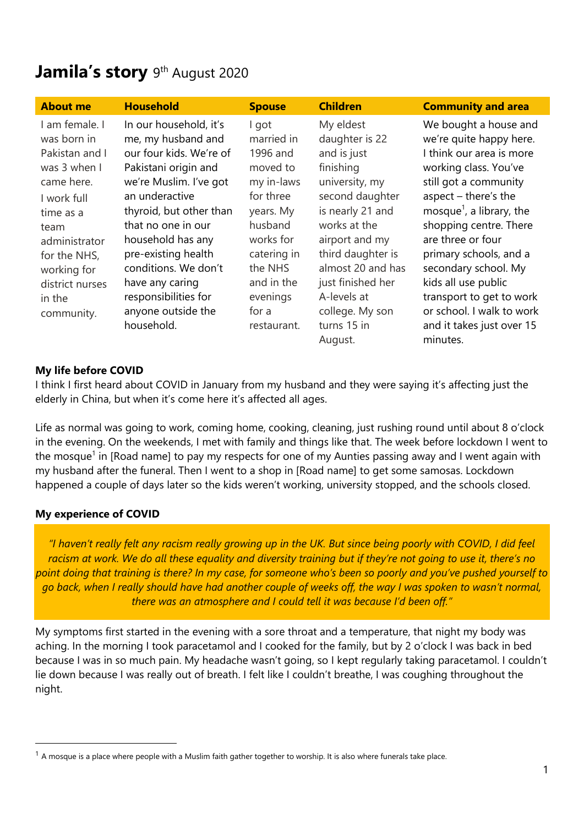# Jamila's story 9<sup>th</sup> August 2020

| <b>About me</b>                                                                                                                                                                                              | <b>Household</b>                                                                                                                                                                                                                                                                                                                                | <b>Spouse</b>                                                                                                                                                                           | <b>Children</b>                                                                                                                                                                                                                                                               | <b>Community and area</b>                                                                                                                                                                                                                                                                                                                                                                                                  |
|--------------------------------------------------------------------------------------------------------------------------------------------------------------------------------------------------------------|-------------------------------------------------------------------------------------------------------------------------------------------------------------------------------------------------------------------------------------------------------------------------------------------------------------------------------------------------|-----------------------------------------------------------------------------------------------------------------------------------------------------------------------------------------|-------------------------------------------------------------------------------------------------------------------------------------------------------------------------------------------------------------------------------------------------------------------------------|----------------------------------------------------------------------------------------------------------------------------------------------------------------------------------------------------------------------------------------------------------------------------------------------------------------------------------------------------------------------------------------------------------------------------|
| I am female. I<br>was born in<br>Pakistan and I<br>was 3 when I<br>came here.<br>I work full<br>time as a<br>team<br>administrator<br>for the NHS,<br>working for<br>district nurses<br>in the<br>community. | In our household, it's<br>me, my husband and<br>our four kids. We're of<br>Pakistani origin and<br>we're Muslim. I've got<br>an underactive<br>thyroid, but other than<br>that no one in our<br>household has any<br>pre-existing health<br>conditions. We don't<br>have any caring<br>responsibilities for<br>anyone outside the<br>household. | I got<br>married in<br>1996 and<br>moved to<br>my in-laws<br>for three<br>years. My<br>husband<br>works for<br>catering in<br>the NHS<br>and in the<br>evenings<br>for a<br>restaurant. | My eldest<br>daughter is 22<br>and is just<br>finishing<br>university, my<br>second daughter<br>is nearly 21 and<br>works at the<br>airport and my<br>third daughter is<br>almost 20 and has<br>just finished her<br>A-levels at<br>college. My son<br>turns 15 in<br>August. | We bought a house and<br>we're quite happy here.<br>I think our area is more<br>working class. You've<br>still got a community<br>aspect $-$ there's the<br>mosque <sup>1</sup> , a library, the<br>shopping centre. There<br>are three or four<br>primary schools, and a<br>secondary school. My<br>kids all use public<br>transport to get to work<br>or school. I walk to work<br>and it takes just over 15<br>minutes. |

## **My life before COVID**

I think I first heard about COVID in January from my husband and they were saying it's affecting just the elderly in China, but when it's come here it's affected all ages.

Life as normal was going to work, coming home, cooking, cleaning, just rushing round until about 8 o'clock in the evening. On the weekends, I met with family and things like that. The week before lockdown I went to the mosque<sup>1</sup> in [Road name] to pay my respects for one of my Aunties passing away and I went again with my husband after the funeral. Then I went to a shop in [Road name] to get some samosas. Lockdown happened a couple of days later so the kids weren't working, university stopped, and the schools closed.

## **My experience of COVID**

*"I haven't really felt any racism really growing up in the UK. But since being poorly with COVID, I did feel racism at work. We do all these equality and diversity training but if they're not going to use it, there's no point doing that training is there? In my case, for someone who's been so poorly and you've pushed yourself to go back, when I really should have had another couple of weeks off, the way I was spoken to wasn't normal, there was an atmosphere and I could tell it was because I'd been off."*

My symptoms first started in the evening with a sore throat and a temperature, that night my body was aching. In the morning I took paracetamol and I cooked for the family, but by 2 o'clock I was back in bed because I was in so much pain. My headache wasn't going, so I kept regularly taking paracetamol. I couldn't lie down because I was really out of breath. I felt like I couldn't breathe, I was coughing throughout the night.

 $1$  A mosque is a place where people with a Muslim faith gather together to worship. It is also where funerals take place.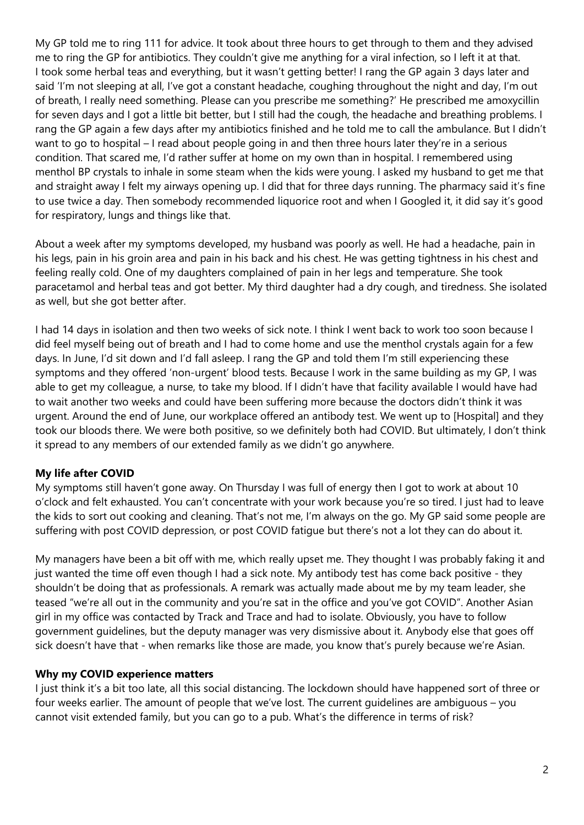My GP told me to ring 111 for advice. It took about three hours to get through to them and they advised me to ring the GP for antibiotics. They couldn't give me anything for a viral infection, so I left it at that. I took some herbal teas and everything, but it wasn't getting better! I rang the GP again 3 days later and said 'I'm not sleeping at all, I've got a constant headache, coughing throughout the night and day, I'm out of breath, I really need something. Please can you prescribe me something?' He prescribed me amoxycillin for seven days and I got a little bit better, but I still had the cough, the headache and breathing problems. I rang the GP again a few days after my antibiotics finished and he told me to call the ambulance. But I didn't want to go to hospital – I read about people going in and then three hours later they're in a serious condition. That scared me, I'd rather suffer at home on my own than in hospital. I remembered using menthol BP crystals to inhale in some steam when the kids were young. I asked my husband to get me that and straight away I felt my airways opening up. I did that for three days running. The pharmacy said it's fine to use twice a day. Then somebody recommended liquorice root and when I Googled it, it did say it's good for respiratory, lungs and things like that.

About a week after my symptoms developed, my husband was poorly as well. He had a headache, pain in his legs, pain in his groin area and pain in his back and his chest. He was getting tightness in his chest and feeling really cold. One of my daughters complained of pain in her legs and temperature. She took paracetamol and herbal teas and got better. My third daughter had a dry cough, and tiredness. She isolated as well, but she got better after.

I had 14 days in isolation and then two weeks of sick note. I think I went back to work too soon because I did feel myself being out of breath and I had to come home and use the menthol crystals again for a few days. In June, I'd sit down and I'd fall asleep. I rang the GP and told them I'm still experiencing these symptoms and they offered 'non-urgent' blood tests. Because I work in the same building as my GP, I was able to get my colleague, a nurse, to take my blood. If I didn't have that facility available I would have had to wait another two weeks and could have been suffering more because the doctors didn't think it was urgent. Around the end of June, our workplace offered an antibody test. We went up to [Hospital] and they took our bloods there. We were both positive, so we definitely both had COVID. But ultimately, I don't think it spread to any members of our extended family as we didn't go anywhere.

## **My life after COVID**

My symptoms still haven't gone away. On Thursday I was full of energy then I got to work at about 10 o'clock and felt exhausted. You can't concentrate with your work because you're so tired. I just had to leave the kids to sort out cooking and cleaning. That's not me, I'm always on the go. My GP said some people are suffering with post COVID depression, or post COVID fatigue but there's not a lot they can do about it.

My managers have been a bit off with me, which really upset me. They thought I was probably faking it and just wanted the time off even though I had a sick note. My antibody test has come back positive - they shouldn't be doing that as professionals. A remark was actually made about me by my team leader, she teased "we're all out in the community and you're sat in the office and you've got COVID". Another Asian girl in my office was contacted by Track and Trace and had to isolate. Obviously, you have to follow government guidelines, but the deputy manager was very dismissive about it. Anybody else that goes off sick doesn't have that - when remarks like those are made, you know that's purely because we're Asian.

## **Why my COVID experience matters**

I just think it's a bit too late, all this social distancing. The lockdown should have happened sort of three or four weeks earlier. The amount of people that we've lost. The current guidelines are ambiguous – you cannot visit extended family, but you can go to a pub. What's the difference in terms of risk?